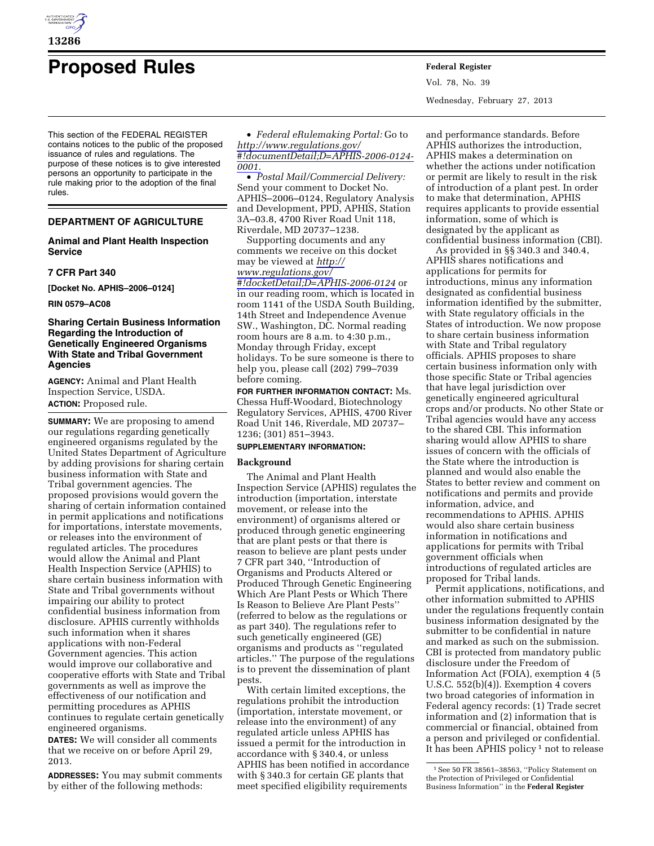

# **Proposed Rules Federal Register**

This section of the FEDERAL REGISTER contains notices to the public of the proposed issuance of rules and regulations. The purpose of these notices is to give interested persons an opportunity to participate in the rule making prior to the adoption of the final rules.

# **DEPARTMENT OF AGRICULTURE**

## **Animal and Plant Health Inspection Service**

### **7 CFR Part 340**

**[Docket No. APHIS–2006–0124]** 

**RIN 0579–AC08** 

## **Sharing Certain Business Information Regarding the Introduction of Genetically Engineered Organisms With State and Tribal Government Agencies**

**AGENCY:** Animal and Plant Health Inspection Service, USDA. **ACTION:** Proposed rule.

**SUMMARY:** We are proposing to amend our regulations regarding genetically engineered organisms regulated by the United States Department of Agriculture by adding provisions for sharing certain business information with State and Tribal government agencies. The proposed provisions would govern the sharing of certain information contained in permit applications and notifications for importations, interstate movements, or releases into the environment of regulated articles. The procedures would allow the Animal and Plant Health Inspection Service (APHIS) to share certain business information with State and Tribal governments without impairing our ability to protect confidential business information from disclosure. APHIS currently withholds such information when it shares applications with non-Federal Government agencies. This action would improve our collaborative and cooperative efforts with State and Tribal governments as well as improve the effectiveness of our notification and permitting procedures as APHIS continues to regulate certain genetically engineered organisms.

**DATES:** We will consider all comments that we receive on or before April 29, 2013.

**ADDRESSES:** You may submit comments by either of the following methods:

• *Federal eRulemaking Portal:* Go to *[http://www.regulations.gov/](http://www.regulations.gov/#!documentDetail;D=APHIS-2006-0124-0001)  [#!documentDetail;D=APHIS-2006-0124-](http://www.regulations.gov/#!documentDetail;D=APHIS-2006-0124-0001) [0001.](http://www.regulations.gov/#!documentDetail;D=APHIS-2006-0124-0001)* 

• *Postal Mail/Commercial Delivery:*  Send your comment to Docket No. APHIS–2006–0124, Regulatory Analysis and Development, PPD, APHIS, Station 3A–03.8, 4700 River Road Unit 118, Riverdale, MD 20737–1238.

Supporting documents and any comments we receive on this docket may be viewed at *[http://](http://www.regulations.gov/#!docketDetail;D=APHIS-2006-0124)  [www.regulations.gov/](http://www.regulations.gov/#!docketDetail;D=APHIS-2006-0124) [#!docketDetail;D=APHIS-2006-0124](http://www.regulations.gov/#!docketDetail;D=APHIS-2006-0124)* or in our reading room, which is located in room 1141 of the USDA South Building, 14th Street and Independence Avenue SW., Washington, DC. Normal reading room hours are 8 a.m. to 4:30 p.m., Monday through Friday, except holidays. To be sure someone is there to help you, please call (202) 799–7039 before coming.

**FOR FURTHER INFORMATION CONTACT:** Ms. Chessa Huff-Woodard, Biotechnology Regulatory Services, APHIS, 4700 River Road Unit 146, Riverdale, MD 20737– 1236; (301) 851–3943.

# **SUPPLEMENTARY INFORMATION:**

## **Background**

The Animal and Plant Health Inspection Service (APHIS) regulates the introduction (importation, interstate movement, or release into the environment) of organisms altered or produced through genetic engineering that are plant pests or that there is reason to believe are plant pests under 7 CFR part 340, ''Introduction of Organisms and Products Altered or Produced Through Genetic Engineering Which Are Plant Pests or Which There Is Reason to Believe Are Plant Pests'' (referred to below as the regulations or as part 340). The regulations refer to such genetically engineered (GE) organisms and products as ''regulated articles.'' The purpose of the regulations is to prevent the dissemination of plant pests.

With certain limited exceptions, the regulations prohibit the introduction (importation, interstate movement, or release into the environment) of any regulated article unless APHIS has issued a permit for the introduction in accordance with § 340.4, or unless APHIS has been notified in accordance with § 340.3 for certain GE plants that meet specified eligibility requirements

Vol. 78, No. 39 Wednesday, February 27, 2013

and performance standards. Before APHIS authorizes the introduction, APHIS makes a determination on whether the actions under notification or permit are likely to result in the risk of introduction of a plant pest. In order to make that determination, APHIS requires applicants to provide essential information, some of which is designated by the applicant as confidential business information (CBI).

As provided in §§ 340.3 and 340.4, APHIS shares notifications and applications for permits for introductions, minus any information designated as confidential business information identified by the submitter, with State regulatory officials in the States of introduction. We now propose to share certain business information with State and Tribal regulatory officials. APHIS proposes to share certain business information only with those specific State or Tribal agencies that have legal jurisdiction over genetically engineered agricultural crops and/or products. No other State or Tribal agencies would have any access to the shared CBI. This information sharing would allow APHIS to share issues of concern with the officials of the State where the introduction is planned and would also enable the States to better review and comment on notifications and permits and provide information, advice, and recommendations to APHIS. APHIS would also share certain business information in notifications and applications for permits with Tribal government officials when introductions of regulated articles are proposed for Tribal lands.

Permit applications, notifications, and other information submitted to APHIS under the regulations frequently contain business information designated by the submitter to be confidential in nature and marked as such on the submission. CBI is protected from mandatory public disclosure under the Freedom of Information Act (FOIA), exemption 4 (5 U.S.C. 552(b)(4)). Exemption 4 covers two broad categories of information in Federal agency records: (1) Trade secret information and (2) information that is commercial or financial, obtained from a person and privileged or confidential. It has been APHIS policy<sup>1</sup> not to release

<sup>1</sup>See 50 FR 38561–38563, ''Policy Statement on the Protection of Privileged or Confidential Business Information'' in the **Federal Register**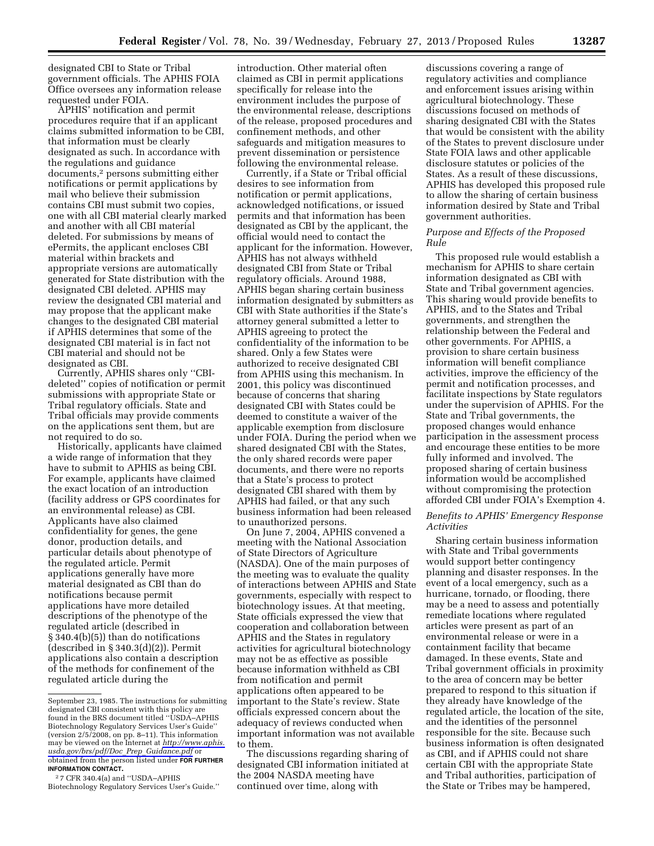designated CBI to State or Tribal government officials. The APHIS FOIA Office oversees any information release requested under FOIA.

APHIS' notification and permit procedures require that if an applicant claims submitted information to be CBI, that information must be clearly designated as such. In accordance with the regulations and guidance documents,2 persons submitting either notifications or permit applications by mail who believe their submission contains CBI must submit two copies, one with all CBI material clearly marked and another with all CBI material deleted. For submissions by means of ePermits, the applicant encloses CBI material within brackets and appropriate versions are automatically generated for State distribution with the designated CBI deleted. APHIS may review the designated CBI material and may propose that the applicant make changes to the designated CBI material if APHIS determines that some of the designated CBI material is in fact not CBI material and should not be designated as CBI.

Currently, APHIS shares only ''CBIdeleted'' copies of notification or permit submissions with appropriate State or Tribal regulatory officials. State and Tribal officials may provide comments on the applications sent them, but are not required to do so.

Historically, applicants have claimed a wide range of information that they have to submit to APHIS as being CBI. For example, applicants have claimed the exact location of an introduction (facility address or GPS coordinates for an environmental release) as CBI. Applicants have also claimed confidentiality for genes, the gene donor, production details, and particular details about phenotype of the regulated article. Permit applications generally have more material designated as CBI than do notifications because permit applications have more detailed descriptions of the phenotype of the regulated article (described in § 340.4(b)(5)) than do notifications (described in  $\S 340.3(d)(2)$ ). Permit applications also contain a description of the methods for confinement of the regulated article during the

introduction. Other material often claimed as CBI in permit applications specifically for release into the environment includes the purpose of the environmental release, descriptions of the release, proposed procedures and confinement methods, and other safeguards and mitigation measures to prevent dissemination or persistence following the environmental release.

Currently, if a State or Tribal official desires to see information from notification or permit applications, acknowledged notifications, or issued permits and that information has been designated as CBI by the applicant, the official would need to contact the applicant for the information. However, APHIS has not always withheld designated CBI from State or Tribal regulatory officials. Around 1988, APHIS began sharing certain business information designated by submitters as CBI with State authorities if the State's attorney general submitted a letter to APHIS agreeing to protect the confidentiality of the information to be shared. Only a few States were authorized to receive designated CBI from APHIS using this mechanism. In 2001, this policy was discontinued because of concerns that sharing designated CBI with States could be deemed to constitute a waiver of the applicable exemption from disclosure under FOIA. During the period when we shared designated CBI with the States, the only shared records were paper documents, and there were no reports that a State's process to protect designated CBI shared with them by APHIS had failed, or that any such business information had been released to unauthorized persons.

On June 7, 2004, APHIS convened a meeting with the National Association of State Directors of Agriculture (NASDA). One of the main purposes of the meeting was to evaluate the quality of interactions between APHIS and State governments, especially with respect to biotechnology issues. At that meeting, State officials expressed the view that cooperation and collaboration between APHIS and the States in regulatory activities for agricultural biotechnology may not be as effective as possible because information withheld as CBI from notification and permit applications often appeared to be important to the State's review. State officials expressed concern about the adequacy of reviews conducted when important information was not available to them.

The discussions regarding sharing of designated CBI information initiated at the 2004 NASDA meeting have continued over time, along with

discussions covering a range of regulatory activities and compliance and enforcement issues arising within agricultural biotechnology. These discussions focused on methods of sharing designated CBI with the States that would be consistent with the ability of the States to prevent disclosure under State FOIA laws and other applicable disclosure statutes or policies of the States. As a result of these discussions, APHIS has developed this proposed rule to allow the sharing of certain business information desired by State and Tribal government authorities.

#### *Purpose and Effects of the Proposed Rule*

This proposed rule would establish a mechanism for APHIS to share certain information designated as CBI with State and Tribal government agencies. This sharing would provide benefits to APHIS, and to the States and Tribal governments, and strengthen the relationship between the Federal and other governments. For APHIS, a provision to share certain business information will benefit compliance activities, improve the efficiency of the permit and notification processes, and facilitate inspections by State regulators under the supervision of APHIS. For the State and Tribal governments, the proposed changes would enhance participation in the assessment process and encourage these entities to be more fully informed and involved. The proposed sharing of certain business information would be accomplished without compromising the protection afforded CBI under FOIA's Exemption 4.

## *Benefits to APHIS' Emergency Response Activities*

Sharing certain business information with State and Tribal governments would support better contingency planning and disaster responses. In the event of a local emergency, such as a hurricane, tornado, or flooding, there may be a need to assess and potentially remediate locations where regulated articles were present as part of an environmental release or were in a containment facility that became damaged. In these events, State and Tribal government officials in proximity to the area of concern may be better prepared to respond to this situation if they already have knowledge of the regulated article, the location of the site, and the identities of the personnel responsible for the site. Because such business information is often designated as CBI, and if APHIS could not share certain CBI with the appropriate State and Tribal authorities, participation of the State or Tribes may be hampered,

September 23, 1985. The instructions for submitting designated CBI consistent with this policy are found in the BRS document titled ''USDA–APHIS Biotechnology Regulatory Services User's Guide'' (version 2/5/2008, on pp. 8–11). This information may be viewed on the Internet at *[http://www.aphis.](http://www.aphis.usda.gov/brs/pdf/Doc_Prep_Guidance.pdf) [usda.gov/brs/pdf/Doc](http://www.aphis.usda.gov/brs/pdf/Doc_Prep_Guidance.pdf)*\_*Prep*\_*Guidance.pdf* or obtained from the person listed under **FOR FURTHER INFORMATION CONTACT.** 

<sup>2</sup> 7 CFR 340.4(a) and ''USDA–APHIS Biotechnology Regulatory Services User's Guide.''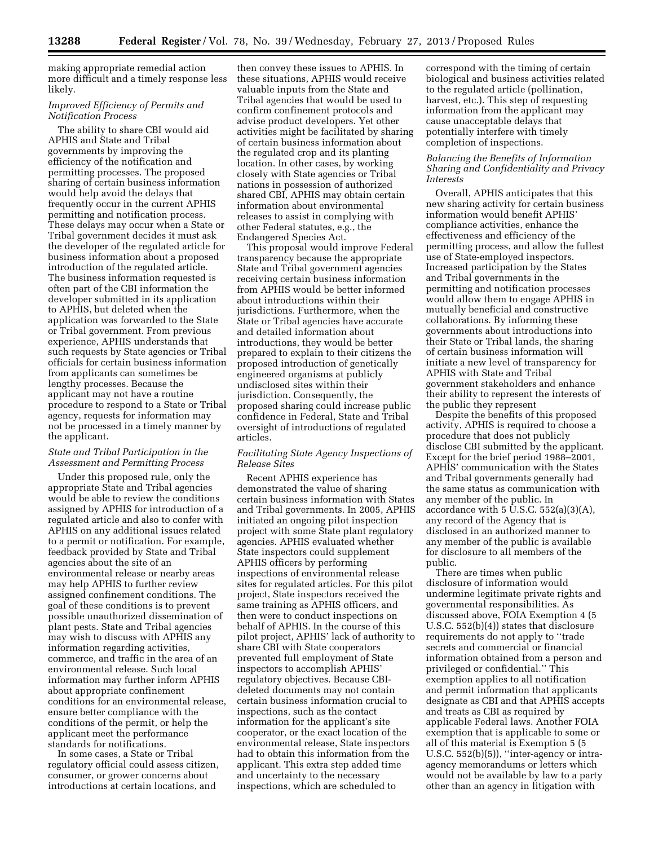making appropriate remedial action more difficult and a timely response less likely.

# *Improved Efficiency of Permits and Notification Process*

The ability to share CBI would aid APHIS and State and Tribal governments by improving the efficiency of the notification and permitting processes. The proposed sharing of certain business information would help avoid the delays that frequently occur in the current APHIS permitting and notification process. These delays may occur when a State or Tribal government decides it must ask the developer of the regulated article for business information about a proposed introduction of the regulated article. The business information requested is often part of the CBI information the developer submitted in its application to APHIS, but deleted when the application was forwarded to the State or Tribal government. From previous experience, APHIS understands that such requests by State agencies or Tribal officials for certain business information from applicants can sometimes be lengthy processes. Because the applicant may not have a routine procedure to respond to a State or Tribal agency, requests for information may not be processed in a timely manner by the applicant.

## *State and Tribal Participation in the Assessment and Permitting Process*

Under this proposed rule, only the appropriate State and Tribal agencies would be able to review the conditions assigned by APHIS for introduction of a regulated article and also to confer with APHIS on any additional issues related to a permit or notification. For example, feedback provided by State and Tribal agencies about the site of an environmental release or nearby areas may help APHIS to further review assigned confinement conditions. The goal of these conditions is to prevent possible unauthorized dissemination of plant pests. State and Tribal agencies may wish to discuss with APHIS any information regarding activities, commerce, and traffic in the area of an environmental release. Such local information may further inform APHIS about appropriate confinement conditions for an environmental release, ensure better compliance with the conditions of the permit, or help the applicant meet the performance standards for notifications.

In some cases, a State or Tribal regulatory official could assess citizen, consumer, or grower concerns about introductions at certain locations, and

then convey these issues to APHIS. In these situations, APHIS would receive valuable inputs from the State and Tribal agencies that would be used to confirm confinement protocols and advise product developers. Yet other activities might be facilitated by sharing of certain business information about the regulated crop and its planting location. In other cases, by working closely with State agencies or Tribal nations in possession of authorized shared CBI, APHIS may obtain certain information about environmental releases to assist in complying with other Federal statutes, e.g., the Endangered Species Act.

This proposal would improve Federal transparency because the appropriate State and Tribal government agencies receiving certain business information from APHIS would be better informed about introductions within their jurisdictions. Furthermore, when the State or Tribal agencies have accurate and detailed information about introductions, they would be better prepared to explain to their citizens the proposed introduction of genetically engineered organisms at publicly undisclosed sites within their jurisdiction. Consequently, the proposed sharing could increase public confidence in Federal, State and Tribal oversight of introductions of regulated articles.

## *Facilitating State Agency Inspections of Release Sites*

Recent APHIS experience has demonstrated the value of sharing certain business information with States and Tribal governments. In 2005, APHIS initiated an ongoing pilot inspection project with some State plant regulatory agencies. APHIS evaluated whether State inspectors could supplement APHIS officers by performing inspections of environmental release sites for regulated articles. For this pilot project, State inspectors received the same training as APHIS officers, and then were to conduct inspections on behalf of APHIS. In the course of this pilot project, APHIS' lack of authority to share CBI with State cooperators prevented full employment of State inspectors to accomplish APHIS' regulatory objectives. Because CBIdeleted documents may not contain certain business information crucial to inspections, such as the contact information for the applicant's site cooperator, or the exact location of the environmental release, State inspectors had to obtain this information from the applicant. This extra step added time and uncertainty to the necessary inspections, which are scheduled to

correspond with the timing of certain biological and business activities related to the regulated article (pollination, harvest, etc.). This step of requesting information from the applicant may cause unacceptable delays that potentially interfere with timely completion of inspections.

# *Balancing the Benefits of Information Sharing and Confidentiality and Privacy Interests*

Overall, APHIS anticipates that this new sharing activity for certain business information would benefit APHIS' compliance activities, enhance the effectiveness and efficiency of the permitting process, and allow the fullest use of State-employed inspectors. Increased participation by the States and Tribal governments in the permitting and notification processes would allow them to engage APHIS in mutually beneficial and constructive collaborations. By informing these governments about introductions into their State or Tribal lands, the sharing of certain business information will initiate a new level of transparency for APHIS with State and Tribal government stakeholders and enhance their ability to represent the interests of the public they represent

Despite the benefits of this proposed activity, APHIS is required to choose a procedure that does not publicly disclose CBI submitted by the applicant. Except for the brief period 1988–2001, APHIS' communication with the States and Tribal governments generally had the same status as communication with any member of the public. In accordance with 5 U.S.C. 552(a)(3)(A), any record of the Agency that is disclosed in an authorized manner to any member of the public is available for disclosure to all members of the public.

There are times when public disclosure of information would undermine legitimate private rights and governmental responsibilities. As discussed above, FOIA Exemption 4 (5 U.S.C. 552(b)(4)) states that disclosure requirements do not apply to ''trade secrets and commercial or financial information obtained from a person and privileged or confidential.'' This exemption applies to all notification and permit information that applicants designate as CBI and that APHIS accepts and treats as CBI as required by applicable Federal laws. Another FOIA exemption that is applicable to some or all of this material is Exemption 5 (5 U.S.C. 552(b)(5)), "inter-agency or intraagency memorandums or letters which would not be available by law to a party other than an agency in litigation with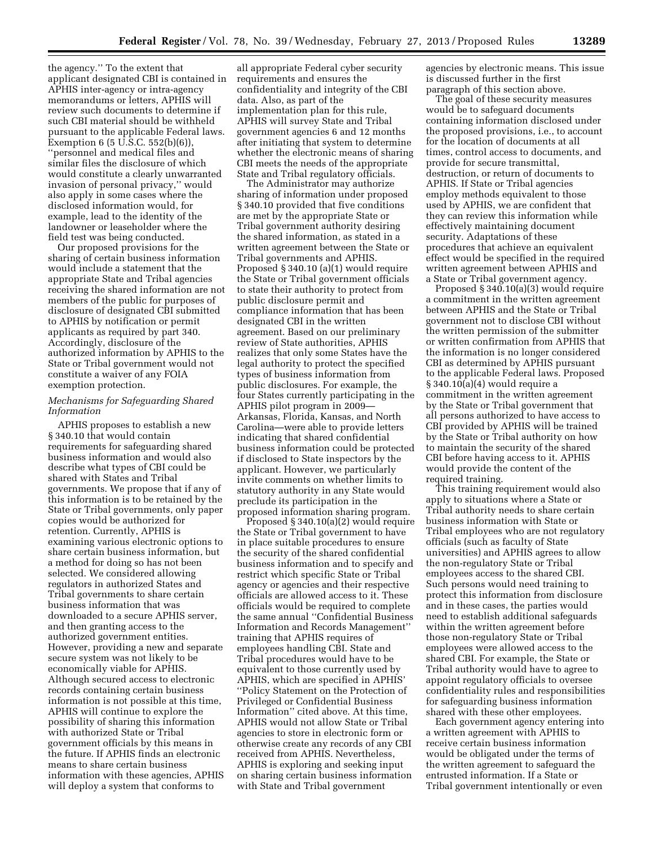the agency.'' To the extent that applicant designated CBI is contained in APHIS inter-agency or intra-agency memorandums or letters, APHIS will review such documents to determine if such CBI material should be withheld pursuant to the applicable Federal laws. Exemption 6 (5 U.S.C. 552(b)(6)), ''personnel and medical files and similar files the disclosure of which would constitute a clearly unwarranted invasion of personal privacy,'' would also apply in some cases where the disclosed information would, for example, lead to the identity of the landowner or leaseholder where the field test was being conducted.

Our proposed provisions for the sharing of certain business information would include a statement that the appropriate State and Tribal agencies receiving the shared information are not members of the public for purposes of disclosure of designated CBI submitted to APHIS by notification or permit applicants as required by part 340. Accordingly, disclosure of the authorized information by APHIS to the State or Tribal government would not constitute a waiver of any FOIA exemption protection.

## *Mechanisms for Safeguarding Shared Information*

APHIS proposes to establish a new § 340.10 that would contain requirements for safeguarding shared business information and would also describe what types of CBI could be shared with States and Tribal governments. We propose that if any of this information is to be retained by the State or Tribal governments, only paper copies would be authorized for retention. Currently, APHIS is examining various electronic options to share certain business information, but a method for doing so has not been selected. We considered allowing regulators in authorized States and Tribal governments to share certain business information that was downloaded to a secure APHIS server, and then granting access to the authorized government entities. However, providing a new and separate secure system was not likely to be economically viable for APHIS. Although secured access to electronic records containing certain business information is not possible at this time, APHIS will continue to explore the possibility of sharing this information with authorized State or Tribal government officials by this means in the future. If APHIS finds an electronic means to share certain business information with these agencies, APHIS will deploy a system that conforms to

all appropriate Federal cyber security requirements and ensures the confidentiality and integrity of the CBI data. Also, as part of the implementation plan for this rule, APHIS will survey State and Tribal government agencies 6 and 12 months after initiating that system to determine whether the electronic means of sharing CBI meets the needs of the appropriate State and Tribal regulatory officials.

The Administrator may authorize sharing of information under proposed § 340.10 provided that five conditions are met by the appropriate State or Tribal government authority desiring the shared information, as stated in a written agreement between the State or Tribal governments and APHIS. Proposed § 340.10 (a)(1) would require the State or Tribal government officials to state their authority to protect from public disclosure permit and compliance information that has been designated CBI in the written agreement. Based on our preliminary review of State authorities, APHIS realizes that only some States have the legal authority to protect the specified types of business information from public disclosures. For example, the four States currently participating in the APHIS pilot program in 2009— Arkansas, Florida, Kansas, and North Carolina—were able to provide letters indicating that shared confidential business information could be protected if disclosed to State inspectors by the applicant. However, we particularly invite comments on whether limits to statutory authority in any State would preclude its participation in the proposed information sharing program.

Proposed § 340.10(a)(2) would require the State or Tribal government to have in place suitable procedures to ensure the security of the shared confidential business information and to specify and restrict which specific State or Tribal agency or agencies and their respective officials are allowed access to it. These officials would be required to complete the same annual ''Confidential Business Information and Records Management'' training that APHIS requires of employees handling CBI. State and Tribal procedures would have to be equivalent to those currently used by APHIS, which are specified in APHIS' ''Policy Statement on the Protection of Privileged or Confidential Business Information'' cited above. At this time, APHIS would not allow State or Tribal agencies to store in electronic form or otherwise create any records of any CBI received from APHIS. Nevertheless, APHIS is exploring and seeking input on sharing certain business information with State and Tribal government

agencies by electronic means. This issue is discussed further in the first paragraph of this section above.

The goal of these security measures would be to safeguard documents containing information disclosed under the proposed provisions, i.e., to account for the location of documents at all times, control access to documents, and provide for secure transmittal, destruction, or return of documents to APHIS. If State or Tribal agencies employ methods equivalent to those used by APHIS, we are confident that they can review this information while effectively maintaining document security. Adaptations of these procedures that achieve an equivalent effect would be specified in the required written agreement between APHIS and a State or Tribal government agency.

Proposed § 340.10(a)(3) would require a commitment in the written agreement between APHIS and the State or Tribal government not to disclose CBI without the written permission of the submitter or written confirmation from APHIS that the information is no longer considered CBI as determined by APHIS pursuant to the applicable Federal laws. Proposed  $\S 340.10(a)(4)$  would require a commitment in the written agreement by the State or Tribal government that all persons authorized to have access to CBI provided by APHIS will be trained by the State or Tribal authority on how to maintain the security of the shared CBI before having access to it. APHIS would provide the content of the required training.

This training requirement would also apply to situations where a State or Tribal authority needs to share certain business information with State or Tribal employees who are not regulatory officials (such as faculty of State universities) and APHIS agrees to allow the non-regulatory State or Tribal employees access to the shared CBI. Such persons would need training to protect this information from disclosure and in these cases, the parties would need to establish additional safeguards within the written agreement before those non-regulatory State or Tribal employees were allowed access to the shared CBI. For example, the State or Tribal authority would have to agree to appoint regulatory officials to oversee confidentiality rules and responsibilities for safeguarding business information shared with these other employees.

Each government agency entering into a written agreement with APHIS to receive certain business information would be obligated under the terms of the written agreement to safeguard the entrusted information. If a State or Tribal government intentionally or even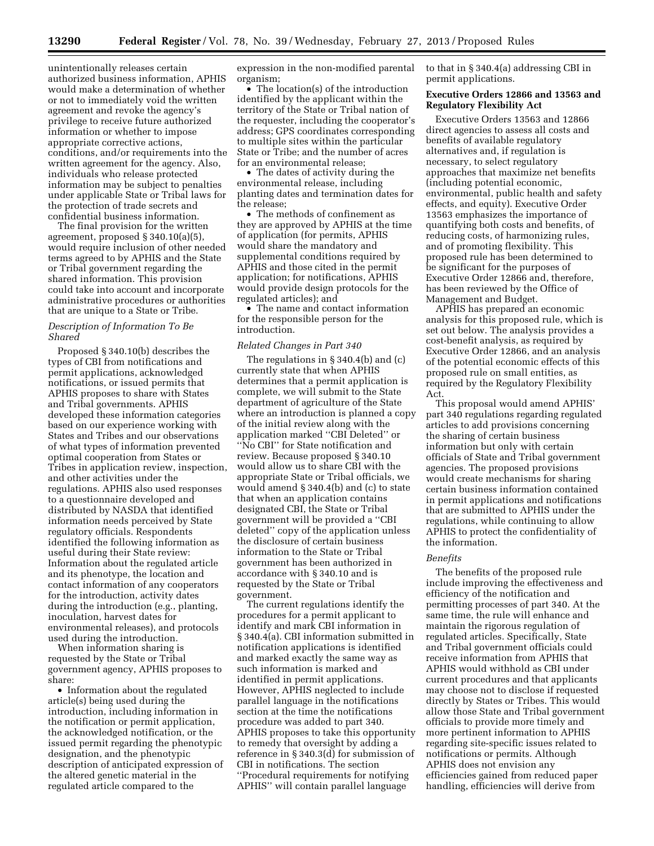unintentionally releases certain authorized business information, APHIS would make a determination of whether or not to immediately void the written agreement and revoke the agency's privilege to receive future authorized information or whether to impose appropriate corrective actions, conditions, and/or requirements into the written agreement for the agency. Also, individuals who release protected information may be subject to penalties under applicable State or Tribal laws for the protection of trade secrets and confidential business information.

The final provision for the written agreement, proposed § 340.10(a)(5), would require inclusion of other needed terms agreed to by APHIS and the State or Tribal government regarding the shared information. This provision could take into account and incorporate administrative procedures or authorities that are unique to a State or Tribe.

## *Description of Information To Be Shared*

Proposed § 340.10(b) describes the types of CBI from notifications and permit applications, acknowledged notifications, or issued permits that APHIS proposes to share with States and Tribal governments. APHIS developed these information categories based on our experience working with States and Tribes and our observations of what types of information prevented optimal cooperation from States or Tribes in application review, inspection, and other activities under the regulations. APHIS also used responses to a questionnaire developed and distributed by NASDA that identified information needs perceived by State regulatory officials. Respondents identified the following information as useful during their State review: Information about the regulated article and its phenotype, the location and contact information of any cooperators for the introduction, activity dates during the introduction (e.g., planting, inoculation, harvest dates for environmental releases), and protocols used during the introduction.

When information sharing is requested by the State or Tribal government agency, APHIS proposes to share:

• Information about the regulated article(s) being used during the introduction, including information in the notification or permit application, the acknowledged notification, or the issued permit regarding the phenotypic designation, and the phenotypic description of anticipated expression of the altered genetic material in the regulated article compared to the

expression in the non-modified parental organism;

• The location(s) of the introduction identified by the applicant within the territory of the State or Tribal nation of the requester, including the cooperator's address; GPS coordinates corresponding to multiple sites within the particular State or Tribe; and the number of acres for an environmental release;

• The dates of activity during the environmental release, including planting dates and termination dates for the release;

• The methods of confinement as they are approved by APHIS at the time of application (for permits, APHIS would share the mandatory and supplemental conditions required by APHIS and those cited in the permit application; for notifications, APHIS would provide design protocols for the regulated articles); and

• The name and contact information for the responsible person for the introduction.

#### *Related Changes in Part 340*

The regulations in § 340.4(b) and (c) currently state that when APHIS determines that a permit application is complete, we will submit to the State department of agriculture of the State where an introduction is planned a copy of the initial review along with the application marked ''CBI Deleted'' or ''No CBI'' for State notification and review. Because proposed § 340.10 would allow us to share CBI with the appropriate State or Tribal officials, we would amend § 340.4(b) and (c) to state that when an application contains designated CBI, the State or Tribal government will be provided a ''CBI deleted'' copy of the application unless the disclosure of certain business information to the State or Tribal government has been authorized in accordance with § 340.10 and is requested by the State or Tribal government.

The current regulations identify the procedures for a permit applicant to identify and mark CBI information in § 340.4(a). CBI information submitted in notification applications is identified and marked exactly the same way as such information is marked and identified in permit applications. However, APHIS neglected to include parallel language in the notifications section at the time the notifications procedure was added to part 340. APHIS proposes to take this opportunity to remedy that oversight by adding a reference in § 340.3(d) for submission of CBI in notifications. The section ''Procedural requirements for notifying APHIS'' will contain parallel language

to that in § 340.4(a) addressing CBI in permit applications.

## **Executive Orders 12866 and 13563 and Regulatory Flexibility Act**

Executive Orders 13563 and 12866 direct agencies to assess all costs and benefits of available regulatory alternatives and, if regulation is necessary, to select regulatory approaches that maximize net benefits (including potential economic, environmental, public health and safety effects, and equity). Executive Order 13563 emphasizes the importance of quantifying both costs and benefits, of reducing costs, of harmonizing rules, and of promoting flexibility. This proposed rule has been determined to be significant for the purposes of Executive Order 12866 and, therefore, has been reviewed by the Office of Management and Budget.

APHIS has prepared an economic analysis for this proposed rule, which is set out below. The analysis provides a cost-benefit analysis, as required by Executive Order 12866, and an analysis of the potential economic effects of this proposed rule on small entities, as required by the Regulatory Flexibility Act.

This proposal would amend APHIS' part 340 regulations regarding regulated articles to add provisions concerning the sharing of certain business information but only with certain officials of State and Tribal government agencies. The proposed provisions would create mechanisms for sharing certain business information contained in permit applications and notifications that are submitted to APHIS under the regulations, while continuing to allow APHIS to protect the confidentiality of the information.

#### *Benefits*

The benefits of the proposed rule include improving the effectiveness and efficiency of the notification and permitting processes of part 340. At the same time, the rule will enhance and maintain the rigorous regulation of regulated articles. Specifically, State and Tribal government officials could receive information from APHIS that APHIS would withhold as CBI under current procedures and that applicants may choose not to disclose if requested directly by States or Tribes. This would allow those State and Tribal government officials to provide more timely and more pertinent information to APHIS regarding site-specific issues related to notifications or permits. Although APHIS does not envision any efficiencies gained from reduced paper handling, efficiencies will derive from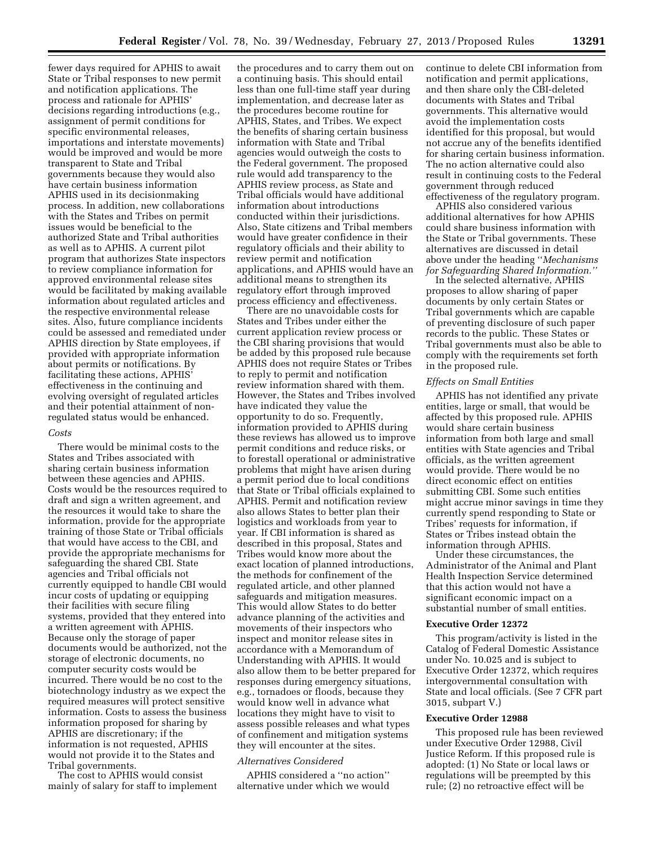fewer days required for APHIS to await State or Tribal responses to new permit and notification applications. The process and rationale for APHIS' decisions regarding introductions (e.g., assignment of permit conditions for specific environmental releases, importations and interstate movements) would be improved and would be more transparent to State and Tribal governments because they would also have certain business information APHIS used in its decisionmaking process. In addition, new collaborations with the States and Tribes on permit issues would be beneficial to the authorized State and Tribal authorities as well as to APHIS. A current pilot program that authorizes State inspectors to review compliance information for approved environmental release sites would be facilitated by making available information about regulated articles and the respective environmental release sites. Also, future compliance incidents could be assessed and remediated under APHIS direction by State employees, if provided with appropriate information about permits or notifications. By facilitating these actions, APHIS' effectiveness in the continuing and evolving oversight of regulated articles and their potential attainment of nonregulated status would be enhanced.

#### *Costs*

There would be minimal costs to the States and Tribes associated with sharing certain business information between these agencies and APHIS. Costs would be the resources required to draft and sign a written agreement, and the resources it would take to share the information, provide for the appropriate training of those State or Tribal officials that would have access to the CBI, and provide the appropriate mechanisms for safeguarding the shared CBI. State agencies and Tribal officials not currently equipped to handle CBI would incur costs of updating or equipping their facilities with secure filing systems, provided that they entered into a written agreement with APHIS. Because only the storage of paper documents would be authorized, not the storage of electronic documents, no computer security costs would be incurred. There would be no cost to the biotechnology industry as we expect the required measures will protect sensitive information. Costs to assess the business information proposed for sharing by APHIS are discretionary; if the information is not requested, APHIS would not provide it to the States and Tribal governments.

The cost to APHIS would consist mainly of salary for staff to implement

the procedures and to carry them out on a continuing basis. This should entail less than one full-time staff year during implementation, and decrease later as the procedures become routine for APHIS, States, and Tribes. We expect the benefits of sharing certain business information with State and Tribal agencies would outweigh the costs to the Federal government. The proposed rule would add transparency to the APHIS review process, as State and Tribal officials would have additional information about introductions conducted within their jurisdictions. Also, State citizens and Tribal members would have greater confidence in their regulatory officials and their ability to review permit and notification applications, and APHIS would have an additional means to strengthen its regulatory effort through improved process efficiency and effectiveness.

There are no unavoidable costs for States and Tribes under either the current application review process or the CBI sharing provisions that would be added by this proposed rule because APHIS does not require States or Tribes to reply to permit and notification review information shared with them. However, the States and Tribes involved have indicated they value the opportunity to do so. Frequently, information provided to APHIS during these reviews has allowed us to improve permit conditions and reduce risks, or to forestall operational or administrative problems that might have arisen during a permit period due to local conditions that State or Tribal officials explained to APHIS. Permit and notification review also allows States to better plan their logistics and workloads from year to year. If CBI information is shared as described in this proposal, States and Tribes would know more about the exact location of planned introductions, the methods for confinement of the regulated article, and other planned safeguards and mitigation measures. This would allow States to do better advance planning of the activities and movements of their inspectors who inspect and monitor release sites in accordance with a Memorandum of Understanding with APHIS. It would also allow them to be better prepared for responses during emergency situations, e.g., tornadoes or floods, because they would know well in advance what locations they might have to visit to assess possible releases and what types of confinement and mitigation systems they will encounter at the sites.

## *Alternatives Considered*

APHIS considered a ''no action'' alternative under which we would continue to delete CBI information from notification and permit applications, and then share only the CBI-deleted documents with States and Tribal governments. This alternative would avoid the implementation costs identified for this proposal, but would not accrue any of the benefits identified for sharing certain business information. The no action alternative could also result in continuing costs to the Federal government through reduced effectiveness of the regulatory program.

APHIS also considered various additional alternatives for how APHIS could share business information with the State or Tribal governments. These alternatives are discussed in detail above under the heading ''*Mechanisms for Safeguarding Shared Information.''* 

In the selected alternative, APHIS proposes to allow sharing of paper documents by only certain States or Tribal governments which are capable of preventing disclosure of such paper records to the public. These States or Tribal governments must also be able to comply with the requirements set forth in the proposed rule.

#### *Effects on Small Entities*

APHIS has not identified any private entities, large or small, that would be affected by this proposed rule. APHIS would share certain business information from both large and small entities with State agencies and Tribal officials, as the written agreement would provide. There would be no direct economic effect on entities submitting CBI. Some such entities might accrue minor savings in time they currently spend responding to State or Tribes' requests for information, if States or Tribes instead obtain the information through APHIS.

Under these circumstances, the Administrator of the Animal and Plant Health Inspection Service determined that this action would not have a significant economic impact on a substantial number of small entities.

#### **Executive Order 12372**

This program/activity is listed in the Catalog of Federal Domestic Assistance under No. 10.025 and is subject to Executive Order 12372, which requires intergovernmental consultation with State and local officials. (See 7 CFR part 3015, subpart V.)

## **Executive Order 12988**

This proposed rule has been reviewed under Executive Order 12988, Civil Justice Reform. If this proposed rule is adopted: (1) No State or local laws or regulations will be preempted by this rule; (2) no retroactive effect will be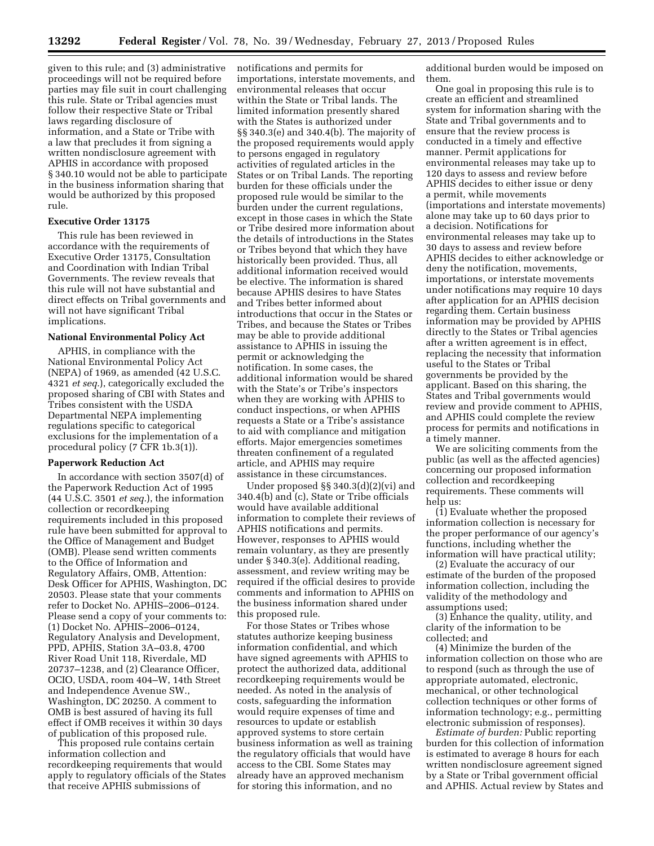given to this rule; and (3) administrative proceedings will not be required before parties may file suit in court challenging this rule. State or Tribal agencies must follow their respective State or Tribal laws regarding disclosure of information, and a State or Tribe with a law that precludes it from signing a written nondisclosure agreement with APHIS in accordance with proposed § 340.10 would not be able to participate in the business information sharing that would be authorized by this proposed rule.

## **Executive Order 13175**

This rule has been reviewed in accordance with the requirements of Executive Order 13175, Consultation and Coordination with Indian Tribal Governments. The review reveals that this rule will not have substantial and direct effects on Tribal governments and will not have significant Tribal implications.

#### **National Environmental Policy Act**

APHIS, in compliance with the National Environmental Policy Act (NEPA) of 1969, as amended (42 U.S.C. 4321 *et seq.*), categorically excluded the proposed sharing of CBI with States and Tribes consistent with the USDA Departmental NEPA implementing regulations specific to categorical exclusions for the implementation of a procedural policy (7 CFR 1b.3(1)).

#### **Paperwork Reduction Act**

In accordance with section 3507(d) of the Paperwork Reduction Act of 1995 (44 U.S.C. 3501 *et seq.*), the information collection or recordkeeping requirements included in this proposed rule have been submitted for approval to the Office of Management and Budget (OMB). Please send written comments to the Office of Information and Regulatory Affairs, OMB, Attention: Desk Officer for APHIS, Washington, DC 20503. Please state that your comments refer to Docket No. APHIS–2006–0124. Please send a copy of your comments to: (1) Docket No. APHIS–2006–0124, Regulatory Analysis and Development, PPD, APHIS, Station 3A–03.8, 4700 River Road Unit 118, Riverdale, MD 20737–1238, and (2) Clearance Officer, OCIO, USDA, room 404–W, 14th Street and Independence Avenue SW., Washington, DC 20250. A comment to OMB is best assured of having its full effect if OMB receives it within 30 days of publication of this proposed rule.

This proposed rule contains certain information collection and recordkeeping requirements that would apply to regulatory officials of the States that receive APHIS submissions of

notifications and permits for importations, interstate movements, and environmental releases that occur within the State or Tribal lands. The limited information presently shared with the States is authorized under §§ 340.3(e) and 340.4(b). The majority of the proposed requirements would apply to persons engaged in regulatory activities of regulated articles in the States or on Tribal Lands. The reporting burden for these officials under the proposed rule would be similar to the burden under the current regulations, except in those cases in which the State or Tribe desired more information about the details of introductions in the States or Tribes beyond that which they have historically been provided. Thus, all additional information received would be elective. The information is shared because APHIS desires to have States and Tribes better informed about introductions that occur in the States or Tribes, and because the States or Tribes may be able to provide additional assistance to APHIS in issuing the permit or acknowledging the notification. In some cases, the additional information would be shared with the State's or Tribe's inspectors when they are working with APHIS to conduct inspections, or when APHIS requests a State or a Tribe's assistance to aid with compliance and mitigation efforts. Major emergencies sometimes threaten confinement of a regulated article, and APHIS may require assistance in these circumstances.

Under proposed §§ 340.3(d)(2)(vi) and 340.4(b) and (c), State or Tribe officials would have available additional information to complete their reviews of APHIS notifications and permits. However, responses to APHIS would remain voluntary, as they are presently under § 340.3(e). Additional reading, assessment, and review writing may be required if the official desires to provide comments and information to APHIS on the business information shared under this proposed rule.

For those States or Tribes whose statutes authorize keeping business information confidential, and which have signed agreements with APHIS to protect the authorized data, additional recordkeeping requirements would be needed. As noted in the analysis of costs, safeguarding the information would require expenses of time and resources to update or establish approved systems to store certain business information as well as training the regulatory officials that would have access to the CBI. Some States may already have an approved mechanism for storing this information, and no

additional burden would be imposed on them.

One goal in proposing this rule is to create an efficient and streamlined system for information sharing with the State and Tribal governments and to ensure that the review process is conducted in a timely and effective manner. Permit applications for environmental releases may take up to 120 days to assess and review before APHIS decides to either issue or deny a permit, while movements (importations and interstate movements) alone may take up to 60 days prior to a decision. Notifications for environmental releases may take up to 30 days to assess and review before APHIS decides to either acknowledge or deny the notification, movements, importations, or interstate movements under notifications may require 10 days after application for an APHIS decision regarding them. Certain business information may be provided by APHIS directly to the States or Tribal agencies after a written agreement is in effect, replacing the necessity that information useful to the States or Tribal governments be provided by the applicant. Based on this sharing, the States and Tribal governments would review and provide comment to APHIS, and APHIS could complete the review process for permits and notifications in a timely manner.

We are soliciting comments from the public (as well as the affected agencies) concerning our proposed information collection and recordkeeping requirements. These comments will help us:

(1) Evaluate whether the proposed information collection is necessary for the proper performance of our agency's functions, including whether the information will have practical utility;

(2) Evaluate the accuracy of our estimate of the burden of the proposed information collection, including the validity of the methodology and assumptions used;

(3) Enhance the quality, utility, and clarity of the information to be collected; and

(4) Minimize the burden of the information collection on those who are to respond (such as through the use of appropriate automated, electronic, mechanical, or other technological collection techniques or other forms of information technology; e.g., permitting electronic submission of responses).

*Estimate of burden:* Public reporting burden for this collection of information is estimated to average 8 hours for each written nondisclosure agreement signed by a State or Tribal government official and APHIS. Actual review by States and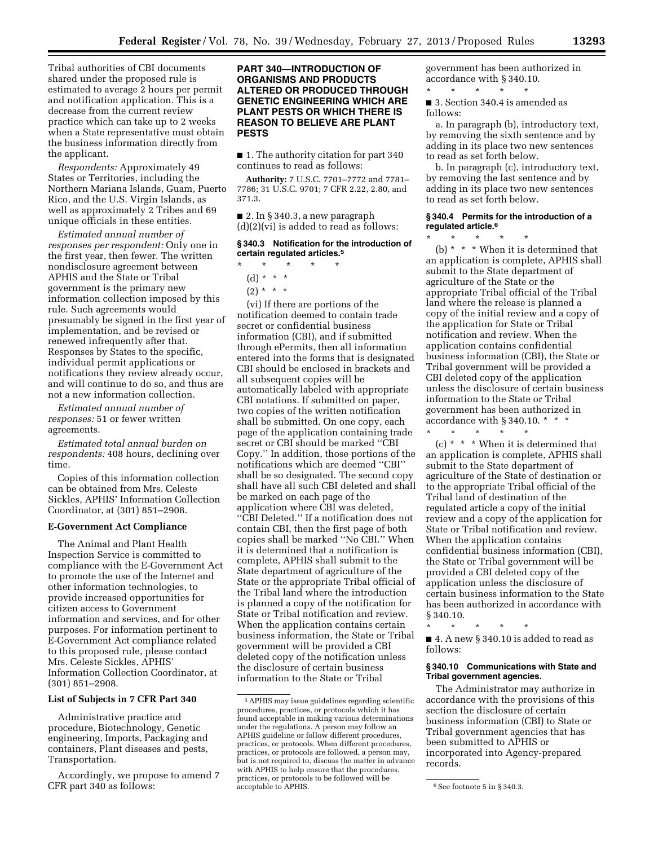Tribal authorities of CBI documents shared under the proposed rule is estimated to average 2 hours per permit and notification application. This is a decrease from the current review practice which can take up to 2 weeks when a State representative must obtain the business information directly from the applicant.

*Respondents:* Approximately 49 States or Territories, including the Northern Mariana Islands, Guam, Puerto Rico, and the U.S. Virgin Islands, as well as approximately 2 Tribes and 69 unique officials in these entities.

*Estimated annual number of responses per respondent:* Only one in the first year, then fewer. The written nondisclosure agreement between APHIS and the State or Tribal government is the primary new information collection imposed by this rule. Such agreements would presumably be signed in the first year of implementation, and be revised or renewed infrequently after that. Responses by States to the specific, individual permit applications or notifications they review already occur, and will continue to do so, and thus are not a new information collection.

*Estimated annual number of responses:* 51 or fewer written agreements.

*Estimated total annual burden on respondents:* 408 hours, declining over time.

Copies of this information collection can be obtained from Mrs. Celeste Sickles, APHIS' Information Collection Coordinator, at (301) 851–2908.

## **E-Government Act Compliance**

The Animal and Plant Health Inspection Service is committed to compliance with the E-Government Act to promote the use of the Internet and other information technologies, to provide increased opportunities for citizen access to Government information and services, and for other purposes. For information pertinent to E-Government Act compliance related to this proposed rule, please contact Mrs. Celeste Sickles, APHIS' Information Collection Coordinator, at (301) 851–2908.

## **List of Subjects in 7 CFR Part 340**

Administrative practice and procedure, Biotechnology, Genetic engineering, Imports, Packaging and containers, Plant diseases and pests, Transportation.

Accordingly, we propose to amend 7 CFR part 340 as follows:

## **PART 340—INTRODUCTION OF ORGANISMS AND PRODUCTS ALTERED OR PRODUCED THROUGH GENETIC ENGINEERING WHICH ARE PLANT PESTS OR WHICH THERE IS REASON TO BELIEVE ARE PLANT PESTS**

■ 1. The authority citation for part 340 continues to read as follows:

**Authority:** 7 U.S.C. 7701–7772 and 7781– 7786; 31 U.S.C. 9701; 7 CFR 2.22, 2.80, and 371.3.

■ 2. In § 340.3, a new paragraph (d)(2)(vi) is added to read as follows:

## **§ 340.3 Notification for the introduction of certain regulated articles.5**

- \* \* \* \* \*
- (d) \* \* \*
- $(2) * * * *$

(vi) If there are portions of the notification deemed to contain trade secret or confidential business information (CBI), and if submitted through ePermits, then all information entered into the forms that is designated CBI should be enclosed in brackets and all subsequent copies will be automatically labeled with appropriate CBI notations. If submitted on paper, two copies of the written notification shall be submitted. On one copy, each page of the application containing trade secret or CBI should be marked ''CBI Copy.'' In addition, those portions of the notifications which are deemed ''CBI'' shall be so designated. The second copy shall have all such CBI deleted and shall be marked on each page of the application where CBI was deleted, ''CBI Deleted.'' If a notification does not contain CBI, then the first page of both copies shall be marked ''No CBI.'' When it is determined that a notification is complete, APHIS shall submit to the State department of agriculture of the State or the appropriate Tribal official of the Tribal land where the introduction is planned a copy of the notification for State or Tribal notification and review. When the application contains certain business information, the State or Tribal government will be provided a CBI deleted copy of the notification unless the disclosure of certain business information to the State or Tribal

government has been authorized in accordance with § 340.10.

\* \* \* \* \* ■ 3. Section 340.4 is amended as follows:

a. In paragraph (b), introductory text, by removing the sixth sentence and by adding in its place two new sentences to read as set forth below.

b. In paragraph (c), introductory text, by removing the last sentence and by adding in its place two new sentences to read as set forth below.

#### **§ 340.4 Permits for the introduction of a regulated article.6**

\* \* \* \* \*

(b)  $*$   $*$   $*$  When it is determined that an application is complete, APHIS shall submit to the State department of agriculture of the State or the appropriate Tribal official of the Tribal land where the release is planned a copy of the initial review and a copy of the application for State or Tribal notification and review. When the application contains confidential business information (CBI), the State or Tribal government will be provided a CBI deleted copy of the application unless the disclosure of certain business information to the State or Tribal government has been authorized in accordance with § 340.10. \* \* \*

\* \* \* \* \*

(c) \* \* \* When it is determined that an application is complete, APHIS shall submit to the State department of agriculture of the State of destination or to the appropriate Tribal official of the Tribal land of destination of the regulated article a copy of the initial review and a copy of the application for State or Tribal notification and review. When the application contains confidential business information (CBI), the State or Tribal government will be provided a CBI deleted copy of the application unless the disclosure of certain business information to the State has been authorized in accordance with § 340.10.

\* \* \* \* \* ■ 4. A new § 340.10 is added to read as follows:

#### **§ 340.10 Communications with State and Tribal government agencies.**

The Administrator may authorize in accordance with the provisions of this section the disclosure of certain business information (CBI) to State or Tribal government agencies that has been submitted to APHIS or incorporated into Agency-prepared records.

<sup>5</sup>APHIS may issue guidelines regarding scientific procedures, practices, or protocols which it has found acceptable in making various determinations under the regulations. A person may follow an APHIS guideline or follow different procedures, practices, or protocols. When different procedures, practices, or protocols are followed, a person may, but is not required to, discuss the matter in advance with APHIS to help ensure that the procedures, practices, or protocols to be followed will be

 $6$  See footnote 5 in § 340.3.